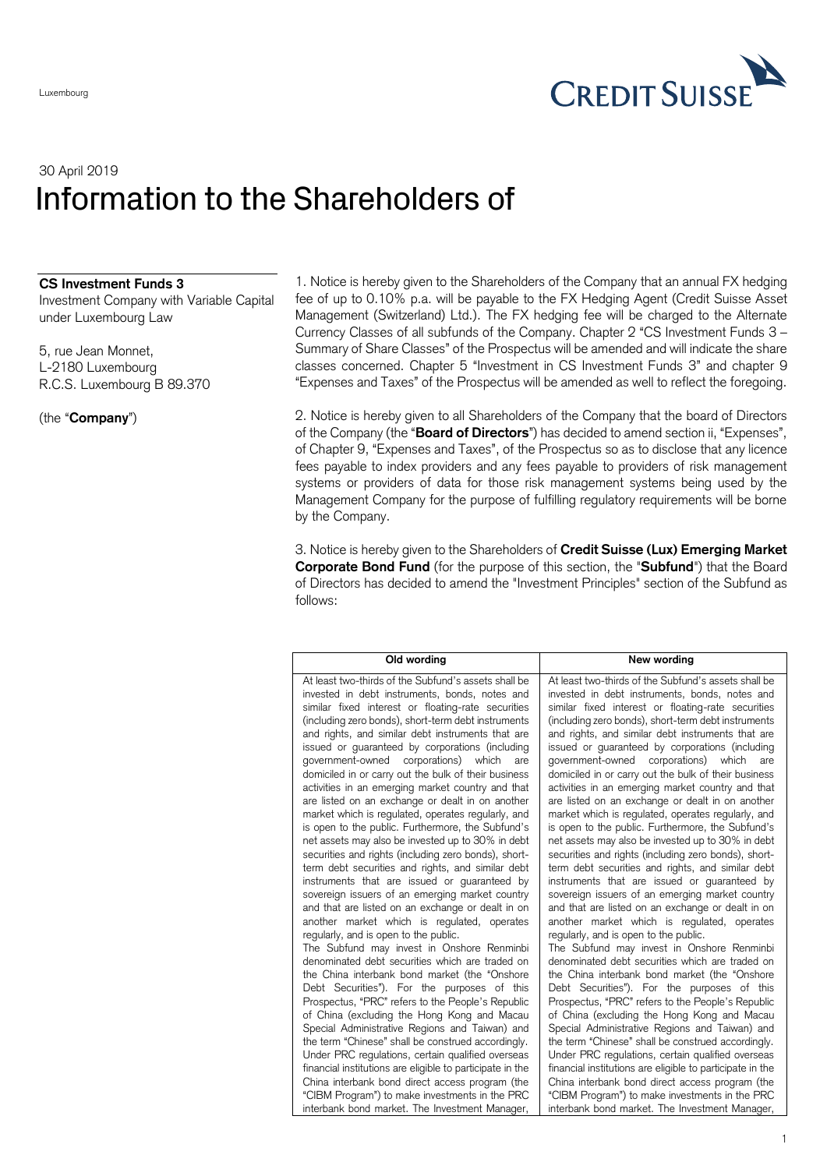

## 30 April 2019 Information to the Shareholders of

## **CS Investment Funds 3**

Investment Company with Variable Capital under Luxembourg Law

5, rue Jean Monnet, L-2180 Luxembourg R.C.S. Luxembourg B 89.370

(the "**Company**")

1. Notice is hereby given to the Shareholders of the Company that an annual FX hedging fee of up to 0.10% p.a. will be payable to the FX Hedging Agent (Credit Suisse Asset Management (Switzerland) Ltd.). The FX hedging fee will be charged to the Alternate Currency Classes of all subfunds of the Company. Chapter 2 "CS Investment Funds 3 – Summary of Share Classes" of the Prospectus will be amended and will indicate the share classes concerned. Chapter 5 "Investment in CS Investment Funds 3" and chapter 9 "Expenses and Taxes" of the Prospectus will be amended as well to reflect the foregoing.

2. Notice is hereby given to all Shareholders of the Company that the board of Directors of the Company (the "**Board of Directors**") has decided to amend section ii, "Expenses", of Chapter 9, "Expenses and Taxes", of the Prospectus so as to disclose that any licence fees payable to index providers and any fees payable to providers of risk management systems or providers of data for those risk management systems being used by the Management Company for the purpose of fulfilling regulatory requirements will be borne by the Company.

3. Notice is hereby given to the Shareholders of **Credit Suisse (Lux) Emerging Market Corporate Bond Fund** (for the purpose of this section, the "**Subfund**") that the Board of Directors has decided to amend the "Investment Principles" section of the Subfund as follows:

| Old wording                                               | New wording                                               |
|-----------------------------------------------------------|-----------------------------------------------------------|
| At least two-thirds of the Subfund's assets shall be      | At least two-thirds of the Subfund's assets shall be      |
| invested in debt instruments, bonds, notes and            | invested in debt instruments, bonds, notes and            |
| similar fixed interest or floating-rate securities        | similar fixed interest or floating-rate securities        |
| (including zero bonds), short-term debt instruments       | (including zero bonds), short-term debt instruments       |
| and rights, and similar debt instruments that are         | and rights, and similar debt instruments that are         |
| issued or guaranteed by corporations (including           | issued or guaranteed by corporations (including           |
| government-owned corporations) which                      | government-owned corporations) which                      |
| are                                                       | are                                                       |
| domiciled in or carry out the bulk of their business      | domiciled in or carry out the bulk of their business      |
| activities in an emerging market country and that         | activities in an emerging market country and that         |
| are listed on an exchange or dealt in on another          | are listed on an exchange or dealt in on another          |
| market which is regulated, operates regularly, and        | market which is regulated, operates regularly, and        |
| is open to the public. Furthermore, the Subfund's         | is open to the public. Furthermore, the Subfund's         |
| net assets may also be invested up to 30% in debt         | net assets may also be invested up to 30% in debt         |
| securities and rights (including zero bonds), short-      | securities and rights (including zero bonds), short-      |
| term debt securities and rights, and similar debt         | term debt securities and rights, and similar debt         |
| instruments that are issued or guaranteed by              | instruments that are issued or guaranteed by              |
| sovereign issuers of an emerging market country           | sovereign issuers of an emerging market country           |
| and that are listed on an exchange or dealt in on         | and that are listed on an exchange or dealt in on         |
| another market which is regulated, operates               | another market which is regulated, operates               |
| regularly, and is open to the public.                     | regularly, and is open to the public.                     |
| The Subfund may invest in Onshore Renminbi                | The Subfund may invest in Onshore Renminbi                |
| denominated debt securities which are traded on           | denominated debt securities which are traded on           |
| the China interbank bond market (the "Onshore             | the China interbank bond market (the "Onshore             |
| Debt Securities"). For the purposes of this               | Debt Securities"). For the purposes of this               |
| Prospectus, "PRC" refers to the People's Republic         | Prospectus, "PRC" refers to the People's Republic         |
| of China (excluding the Hong Kong and Macau               | of China (excluding the Hong Kong and Macau               |
| Special Administrative Regions and Taiwan) and            | Special Administrative Regions and Taiwan) and            |
| the term "Chinese" shall be construed accordingly.        | the term "Chinese" shall be construed accordingly.        |
| Under PRC regulations, certain qualified overseas         | Under PRC regulations, certain qualified overseas         |
| financial institutions are eligible to participate in the | financial institutions are eligible to participate in the |
| China interbank bond direct access program (the           | China interbank bond direct access program (the           |
| "CIBM Program") to make investments in the PRC            | "CIBM Program") to make investments in the PRC            |
| interbank bond market. The Investment Manager,            | interbank bond market. The Investment Manager,            |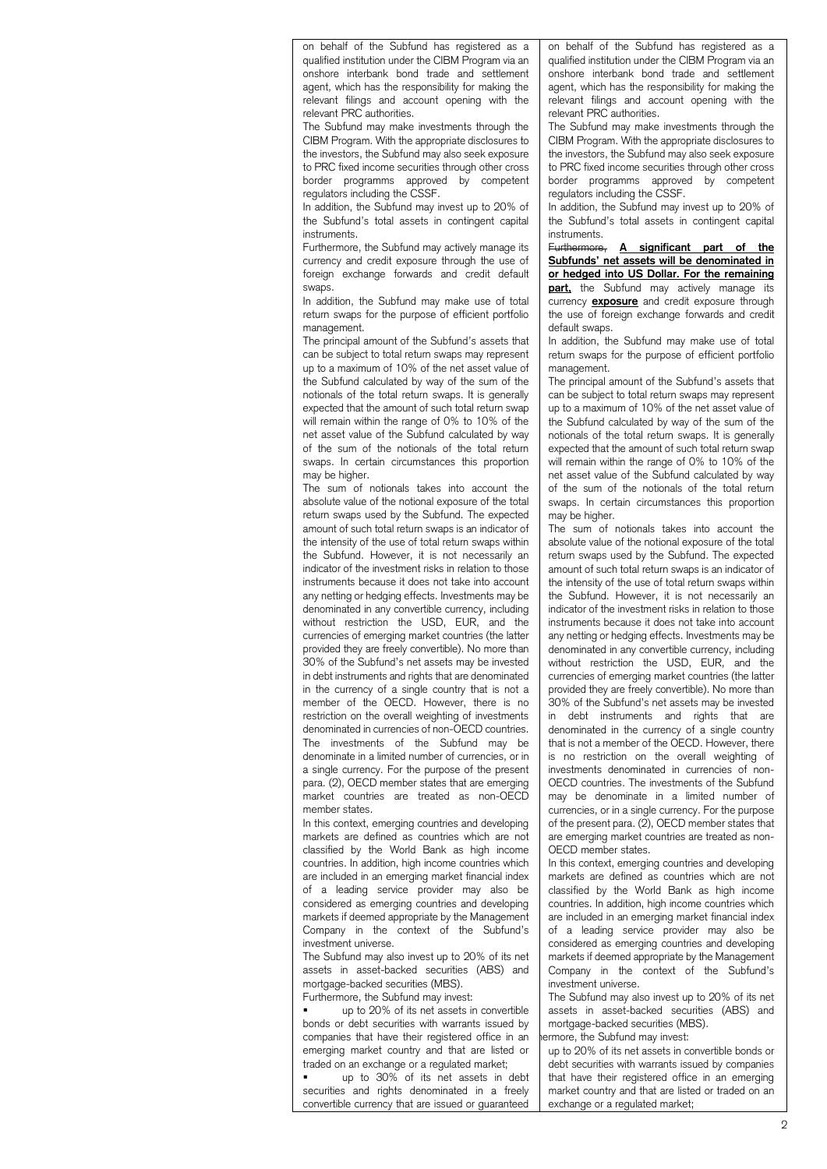on behalf of the Subfund has registered as a qualified institution under the CIBM Program via an onshore interbank bond trade and settlement agent, which has the responsibility for making the relevant filings and account opening with the relevant PRC authorities.

The Subfund may make investments through the CIBM Program. With the appropriate disclosures to the investors, the Subfund may also seek exposure to PRC fixed income securities through other cross border programms approved by competent regulators including the CSSF.

In addition, the Subfund may invest up to 20% of the Subfund's total assets in contingent capital instruments.

Furthermore, the Subfund may actively manage its currency and credit exposure through the use of foreign exchange forwards and credit default swaps.

In addition, the Subfund may make use of total return swaps for the purpose of efficient portfolio management.

The principal amount of the Subfund's assets that can be subject to total return swaps may represent up to a maximum of 10% of the net asset value of the Subfund calculated by way of the sum of the notionals of the total return swaps. It is generally expected that the amount of such total return swap will remain within the range of 0% to 10% of the net asset value of the Subfund calculated by way of the sum of the notionals of the total return swaps. In certain circumstances this proportion may be higher.

The sum of notionals takes into account the absolute value of the notional exposure of the total return swaps used by the Subfund. The expected amount of such total return swaps is an indicator of the intensity of the use of total return swaps within the Subfund. However, it is not necessarily an indicator of the investment risks in relation to those instruments because it does not take into account any netting or hedging effects. Investments may be denominated in any convertible currency, including without restriction the USD, EUR, and the currencies of emerging market countries (the latter provided they are freely convertible). No more than 30% of the Subfund's net assets may be invested in debt instruments and rights that are denominated in the currency of a single country that is not a member of the OECD. However, there is no restriction on the overall weighting of investments denominated in currencies of non-OECD countries. The investments of the Subfund may be denominate in a limited number of currencies, or in a single currency. For the purpose of the present para. (2), OECD member states that are emerging market countries are treated as non-OECD member states.

In this context, emerging countries and developing markets are defined as countries which are not classified by the World Bank as high income countries. In addition, high income countries which are included in an emerging market financial index of a leading service provider may also be considered as emerging countries and developing markets if deemed appropriate by the Management Company in the context of the Subfund's investment universe.

The Subfund may also invest up to 20% of its net assets in asset-backed securities (ABS) and mortgage-backed securities (MBS).

Furthermore, the Subfund may invest:

 up to 20% of its net assets in convertible bonds or debt securities with warrants issued by companies that have their registered office in an emerging market country and that are listed or traded on an exchange or a regulated market;

 up to 30% of its net assets in debt securities and rights denominated in a freely convertible currency that are issued or guaranteed on behalf of the Subfund has registered as a qualified institution under the CIBM Program via an onshore interbank bond trade and settlement agent, which has the responsibility for making the relevant filings and account opening with the relevant PRC authorities.

The Subfund may make investments through the CIBM Program. With the appropriate disclosures to the investors, the Subfund may also seek exposure to PRC fixed income securities through other cross border programms approved by competent regulators including the CSSF.

In addition, the Subfund may invest up to 20% of the Subfund's total assets in contingent capital instruments.<br>Eurthermore,

A significant part of the **Subfunds' net assets will be denominated in or hedged into US Dollar. For the remaining part,** the Subfund may actively manage its currency **exposure** and credit exposure through the use of foreign exchange forwards and credit default swaps.

In addition, the Subfund may make use of total return swaps for the purpose of efficient portfolio management

The principal amount of the Subfund's assets that can be subject to total return swaps may represent up to a maximum of 10% of the net asset value of the Subfund calculated by way of the sum of the notionals of the total return swaps. It is generally expected that the amount of such total return swap will remain within the range of 0% to 10% of the net asset value of the Subfund calculated by way of the sum of the notionals of the total return swaps. In certain circumstances this proportion may be higher.

The sum of notionals takes into account the absolute value of the notional exposure of the total return swaps used by the Subfund. The expected amount of such total return swaps is an indicator of the intensity of the use of total return swaps within the Subfund. However, it is not necessarily an indicator of the investment risks in relation to those instruments because it does not take into account any netting or hedging effects. Investments may be denominated in any convertible currency, including without restriction the USD, EUR, and the currencies of emerging market countries (the latter provided they are freely convertible). No more than 30% of the Subfund's net assets may be invested in debt instruments and rights that are denominated in the currency of a single country that is not a member of the OECD. However, there is no restriction on the overall weighting of investments denominated in currencies of non-OECD countries. The investments of the Subfund may be denominate in a limited number of currencies, or in a single currency. For the purpose of the present para. (2), OECD member states that are emerging market countries are treated as non-OECD member states.

In this context, emerging countries and developing markets are defined as countries which are not classified by the World Bank as high income countries. In addition, high income countries which are included in an emerging market financial index of a leading service provider may also be considered as emerging countries and developing markets if deemed appropriate by the Management Company in the context of the Subfund's investment universe.

The Subfund may also invest up to 20% of its net assets in asset-backed securities (ABS) and mortgage-backed securities (MBS). ermore, the Subfund may invest:

 up to 20% of its net assets in convertible bonds or debt securities with warrants issued by companies that have their registered office in an emerging market country and that are listed or traded on an exchange or a regulated market;